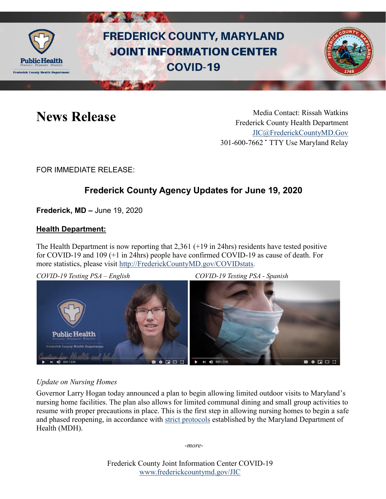

# **FREDERICK COUNTY, MARYLAND JOINT INFORMATION CENTER COVID-19**



News Release Media Contact: Rissah Watkins Frederick County Health Department [JIC@FrederickCountyMD.Gov](mailto:JIC@FrederickCountyMD.Gov) 301-600-7662 • TTY Use Maryland Relay

FOR IMMEDIATE RELEASE:

# **Frederick County Agency Updates for June 19, 2020**

**Frederick, MD –** June 19, 2020

### **Health Department:**

The Health Department is now reporting that 2,361 (+19 in 24hrs) residents have tested positive for COVID-19 and 109 (+1 in 24hrs) people have confirmed COVID-19 as cause of death. For more statistics, please visit [http://FrederickCountyMD.gov/COVIDstats.](http://frederickcountymd.gov/COVIDstats)

*COVID-19 Testing PSA – English COVID-19 Testing PSA - Spanish*



# *Update on Nursing Homes*

Governor Larry Hogan today announced a plan to begin allowing limited outdoor visits to Maryland's nursing home facilities. The plan also allows for limited communal dining and small group activities to resume with proper precautions in place. This is the first step in allowing nursing homes to begin a safe and phased reopening, in accordance with [strict protocols](https://phpa.health.maryland.gov/Documents/NH%20Relaxation%20of%20Restrictions_6.18.2020_FINAL.pdf) established by the Maryland Department of Health (MDH).

*-more-*

Frederick County Joint Information Center COVID-19 [www.frederickcountymd.gov/JIC](https://frederickcountymd.gov/JIC)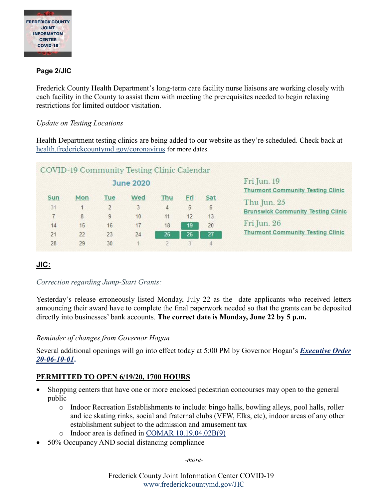

#### **Page 2/JIC**

Frederick County Health Department's long-term care facility nurse liaisons are working closely with each facility in the County to assist them with meeting the prerequisites needed to begin relaxing restrictions for limited outdoor visitation.

#### *Update on Testing Locations*

Health Department testing clinics are being added to our website as they're scheduled. Check back at [health.frederickcountymd.gov/coronavirus](https://health.frederickcountymd.gov/614/Novel-Coronavirus-COVID-19) for more dates.

|                  |     |                | COVID-19 Community Testing Clinic Calendar |     |            |                                                         |                                           |
|------------------|-----|----------------|--------------------------------------------|-----|------------|---------------------------------------------------------|-------------------------------------------|
| <b>June 2020</b> |     |                |                                            |     |            | Fri Jun. 19<br><b>Thurmont Community Testing Clinic</b> |                                           |
| <b>Sun</b>       | Mon | Tue            | Wed                                        | Thu | <u>Fri</u> | Sat                                                     | Thu Jun. 25                               |
| 31               |     | $\overline{2}$ | 3                                          | 4   | 5          | 6                                                       | <b>Brunswick Community Testing Clinic</b> |
|                  | 8   | 9              | 10                                         | 11  | 12         | 13                                                      | Fri Jun. 26                               |
| 14               | 15  | 16             | 17                                         | 18  | 19         | 20                                                      |                                           |
| 21               | 22  | 23             | 24                                         | 25  | 26         | 27                                                      | <b>Thurmont Community Testing Clinic</b>  |
| 28               | 29  | 30             |                                            |     | 3          | 4                                                       |                                           |

#### **JIC:**

*Correction regarding Jump-Start Grants:*

Yesterday's release erroneously listed Monday, July 22 as the date applicants who received letters announcing their award have to complete the final paperwork needed so that the grants can be deposited directly into businesses' bank accounts. **The correct date is Monday, June 22 by 5 p.m.**

#### *Reminder of changes from Governor Hogan*

Several additional openings will go into effect today at 5:00 PM by Governor Hogan's *[Executive Order](https://governor.maryland.gov/wp-content/uploads/2020/06/Gatherings-NINTH-AMENDED-June-10.pdf)  [20-06-10-01](https://governor.maryland.gov/wp-content/uploads/2020/06/Gatherings-NINTH-AMENDED-June-10.pdf)***.**

#### **PERMITTED TO OPEN 6/19/20, 1700 HOURS**

- Shopping centers that have one or more enclosed pedestrian concourses may open to the general public
	- o Indoor Recreation Establishments to include: bingo halls, bowling alleys, pool halls, roller and ice skating rinks, social and fraternal clubs (VFW, Elks, etc), indoor areas of any other establishment subject to the admission and amusement tax
	- o Indoor area is defined in [COMAR 10.19.04.02B\(9\)](http://mdrules.elaws.us/comar/10.19.04.02)
- 50% Occupancy AND social distancing compliance

*-more-*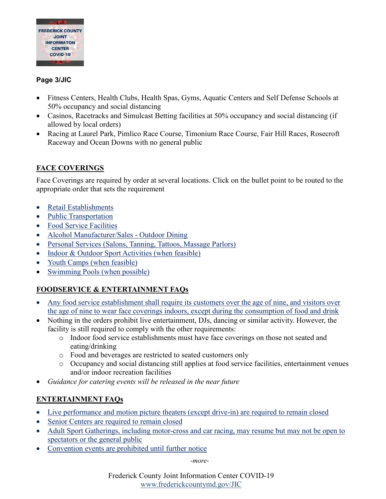

#### **Page 3/JIC**

- Fitness Centers, Health Clubs, Health Spas, Gyms, Aquatic Centers and Self Defense Schools at 50% occupancy and social distancing
- Casinos, Racetracks and Simulcast Betting facilities at 50% occupancy and social distancing (if allowed by local orders)
- Racing at Laurel Park, Pimlico Race Course, Timonium Race Course, Fair Hill Races, Rosecroft Raceway and Ocean Downs with no general public

# **FACE COVERINGS**

Face Coverings are required by order at several locations. Click on the bullet point to be routed to the appropriate order that sets the requirement

- [Retail Establishments](https://governor.maryland.gov/wp-content/uploads/2020/04/Masks-and-Physical-Distancing-4.15.20.pdf)
- [Public Transportation](https://governor.maryland.gov/wp-content/uploads/2020/04/Masks-and-Physical-Distancing-4.15.20.pdf)
- [Food Service Facilities](https://governor.maryland.gov/wp-content/uploads/2020/04/Masks-and-Physical-Distancing-4.15.20.pdf)
- [Alcohol Manufacturer/Sales -](https://governor.maryland.gov/wp-content/uploads/2020/05/Alcohol-Services-AMENDED-5.29.20.pdf) Outdoor Dining
- [Personal Services \(Salons, Tanning, Tattoos, Massage Parlors\)](https://governor.maryland.gov/wp-content/uploads/2020/06/Gatherings-NINTH-AMENDED-June-10.pdf)
- Indoor & [Outdoor Sport Activities \(when feasible\)](https://phpa.health.maryland.gov/Documents/2020.06.12.01%20-%20MDH%20Order%20-%20Community%20Recreational%20Leisure%20Cultural%20Sporting%20Gatherings%20and%20Events.pdf)
- [Youth Camps \(when feasible\)](https://phpa.health.maryland.gov/Documents/2020.06.12.02%20-%20MDH%20Order%20-%20Amended%20Youth%20Camps.pdf)
- $\bullet$  [Swimming Pools \(when possible\)](https://phpa.health.maryland.gov/Documents/20.20.06.10.03%20-%20MDH%20Order%20-%20Amended%20Pools.pdf)

# **FOODSERVICE & ENTERTAINMENT FAQs**

- [Any food service establishment shall require its customers over the age of nine, and visitors over](https://phpa.health.maryland.gov/Documents/20.20.06.10.01%20-%20MDH%20Order%20-%20Food%20Service%20Establishments.pdf)  [the age of nine to wear face coverings indoors, except during the consumption of food and drink](https://phpa.health.maryland.gov/Documents/20.20.06.10.01%20-%20MDH%20Order%20-%20Food%20Service%20Establishments.pdf)
- Nothing in the orders prohibit live entertainment, DJs, dancing or similar activity. However, the facility is still required to comply with the other requirements:
	- o Indoor food service establishments must have face coverings on those not seated and eating/drinking
	- o Food and beverages are restricted to seated customers only
	- o Occupancy and social distancing still applies at food service facilities, entertainment venues and/or indoor recreation facilities
- *Guidance for catering events will be released in the near future*

# **ENTERTAINMENT FAQs**

- [Live performance and motion picture theaters \(except drive-in\) are required to remain closed](https://governor.maryland.gov/wp-content/uploads/2020/06/Gatherings-NINTH-AMENDED-June-10.pdf)
- [Senior Centers are required to remain closed](https://governor.maryland.gov/wp-content/uploads/2020/06/Gatherings-NINTH-AMENDED-June-10.pdf)
- Adult Sport Gatherings, including motor-cross and car racing, may resume but may not be open to [spectators or the general public](https://phpa.health.maryland.gov/Documents/2020.06.12.01%20-%20MDH%20Order%20-%20Community%20Recreational%20Leisure%20Cultural%20Sporting%20Gatherings%20and%20Events.pdf)
- [Convention events are prohibited until further notice](https://phpa.health.maryland.gov/Documents/2020.06.12.01%20-%20MDH%20Order%20-%20Community%20Recreational%20Leisure%20Cultural%20Sporting%20Gatherings%20and%20Events.pdf)

*-more-*